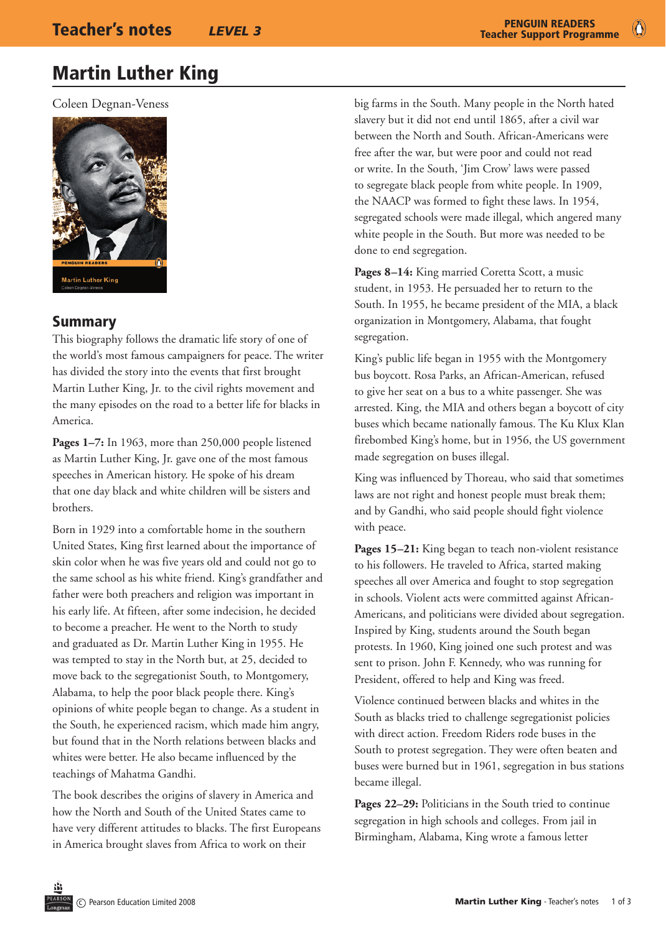$\bullet$ 

## Martin Luther King

Coleen Degnan-Veness



#### Summary

This biography follows the dramatic life story of one of the world's most famous campaigners for peace. The writer has divided the story into the events that first brought Martin Luther King, Jr. to the civil rights movement and the many episodes on the road to a better life for blacks in America.

Pages 1-7: In 1963, more than 250,000 people listened as Martin Luther King, Jr. gave one of the most famous speeches in American history. He spoke of his dream that one day black and white children will be sisters and brothers.

Born in 1929 into a comfortable home in the southern United States, King first learned about the importance of skin color when he was five years old and could not go to the same school as his white friend. King's grandfather and father were both preachers and religion was important in his early life. At fifteen, after some indecision, he decided to become a preacher. He went to the North to study and graduated as Dr. Martin Luther King in 1955. He was tempted to stay in the North but, at 25, decided to move back to the segregationist South, to Montgomery, Alabama, to help the poor black people there. King's opinions of white people began to change. As a student in the South, he experienced racism, which made him angry, but found that in the North relations between blacks and whites were better. He also became influenced by the teachings of Mahatma Gandhi.

The book describes the origins of slavery in America and how the North and South of the United States came to have very different attitudes to blacks. The first Europeans in America brought slaves from Africa to work on their

big farms in the South. Many people in the North hated slavery but it did not end until 1865, after a civil war between the North and South. African-Americans were free after the war, but were poor and could not read or write. In the South, 'Jim Crow' laws were passed to segregate black people from white people. In 1909, the NAACP was formed to fight these laws. In 1954, segregated schools were made illegal, which angered many white people in the South. But more was needed to be done to end segregation.

Pages 8–14: King married Coretta Scott, a music student, in 1953. He persuaded her to return to the South. In 1955, he became president of the MIA, a black organization in Montgomery, Alabama, that fought segregation.

King's public life began in 1955 with the Montgomery bus boycott. Rosa Parks, an African-American, refused to give her seat on a bus to a white passenger. She was arrested. King, the MIA and others began a boycott of city buses which became nationally famous. The Ku Klux Klan firebombed King's home, but in 1956, the US government made segregation on buses illegal.

King was influenced by Thoreau, who said that sometimes laws are not right and honest people must break them; and by Gandhi, who said people should fight violence with peace.

**Pages 15–21:** King began to teach non-violent resistance to his followers. He traveled to Africa, started making speeches all over America and fought to stop segregation in schools. Violent acts were committed against African-Americans, and politicians were divided about segregation. Inspired by King, students around the South began protests. In 1960, King joined one such protest and was sent to prison. John F. Kennedy, who was running for President, offered to help and King was freed.

Violence continued between blacks and whites in the South as blacks tried to challenge segregationist policies with direct action. Freedom Riders rode buses in the South to protest segregation. They were often beaten and buses were burned but in 1961, segregation in bus stations became illegal.

Pages 22–29: Politicians in the South tried to continue segregation in high schools and colleges. From jail in Birmingham, Alabama, King wrote a famous letter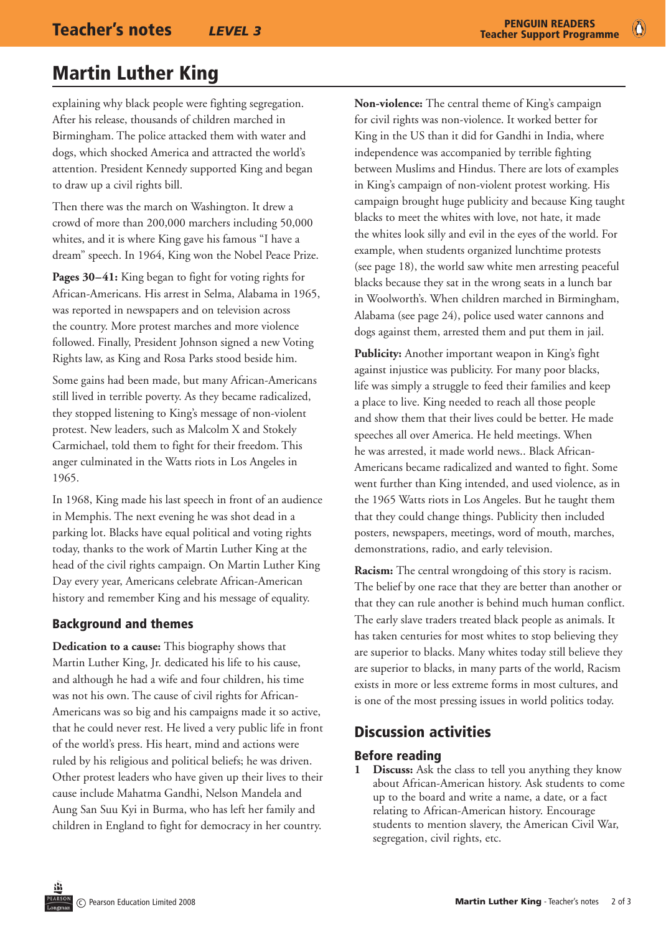## Martin Luther King

explaining why black people were fighting segregation. After his release, thousands of children marched in Birmingham. The police attacked them with water and dogs, which shocked America and attracted the world's attention. President Kennedy supported King and began to draw up a civil rights bill.

Then there was the march on Washington. It drew a crowd of more than 200,000 marchers including 50,000 whites, and it is where King gave his famous "I have a dream" speech. In 1964, King won the Nobel Peace Prize.

**Pages 30–41:** King began to fight for voting rights for African-Americans. His arrest in Selma, Alabama in 1965, was reported in newspapers and on television across the country. More protest marches and more violence followed. Finally, President Johnson signed a new Voting Rights law, as King and Rosa Parks stood beside him.

Some gains had been made, but many African-Americans still lived in terrible poverty. As they became radicalized, they stopped listening to King's message of non-violent protest. New leaders, such as Malcolm X and Stokely Carmichael, told them to fight for their freedom. This anger culminated in the Watts riots in Los Angeles in 1965.

In 1968, King made his last speech in front of an audience in Memphis. The next evening he was shot dead in a parking lot. Blacks have equal political and voting rights today, thanks to the work of Martin Luther King at the head of the civil rights campaign. On Martin Luther King Day every year, Americans celebrate African-American history and remember King and his message of equality.

#### Background and themes

**Dedication to a cause:** This biography shows that Martin Luther King, Jr. dedicated his life to his cause, and although he had a wife and four children, his time was not his own. The cause of civil rights for African-Americans was so big and his campaigns made it so active, that he could never rest. He lived a very public life in front of the world's press. His heart, mind and actions were ruled by his religious and political beliefs; he was driven. Other protest leaders who have given up their lives to their cause include Mahatma Gandhi, Nelson Mandela and Aung San Suu Kyi in Burma, who has left her family and children in England to fight for democracy in her country.

**Non-violence:** The central theme of King's campaign for civil rights was non-violence. It worked better for King in the US than it did for Gandhi in India, where independence was accompanied by terrible fighting between Muslims and Hindus. There are lots of examples in King's campaign of non-violent protest working. His campaign brought huge publicity and because King taught blacks to meet the whites with love, not hate, it made the whites look silly and evil in the eyes of the world. For example, when students organized lunchtime protests (see page 18), the world saw white men arresting peaceful blacks because they sat in the wrong seats in a lunch bar in Woolworth's. When children marched in Birmingham, Alabama (see page 24), police used water cannons and dogs against them, arrested them and put them in jail.

**Publicity:** Another important weapon in King's fight against injustice was publicity. For many poor blacks, life was simply a struggle to feed their families and keep a place to live. King needed to reach all those people and show them that their lives could be better. He made speeches all over America. He held meetings. When he was arrested, it made world news.. Black African-Americans became radicalized and wanted to fight. Some went further than King intended, and used violence, as in the 1965 Watts riots in Los Angeles. But he taught them that they could change things. Publicity then included posters, newspapers, meetings, word of mouth, marches, demonstrations, radio, and early television.

**Racism:** The central wrongdoing of this story is racism. The belief by one race that they are better than another or that they can rule another is behind much human conflict. The early slave traders treated black people as animals. It has taken centuries for most whites to stop believing they are superior to blacks. Many whites today still believe they are superior to blacks, in many parts of the world, Racism exists in more or less extreme forms in most cultures, and is one of the most pressing issues in world politics today.

### Discussion activities

#### Before reading

**1 Discuss:** Ask the class to tell you anything they know about African-American history. Ask students to come up to the board and write a name, a date, or a fact relating to African-American history. Encourage students to mention slavery, the American Civil War, segregation, civil rights, etc.